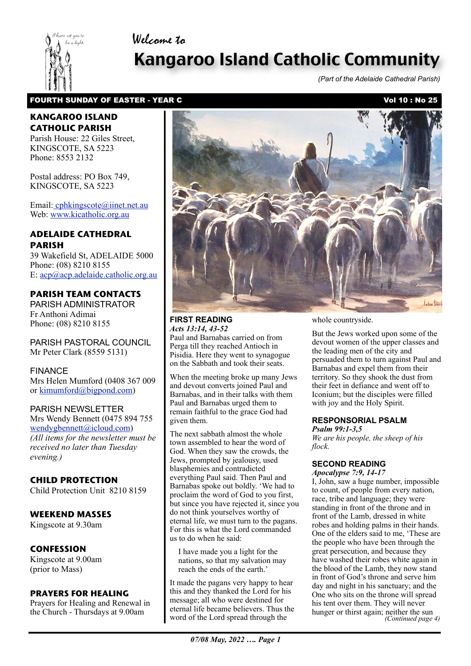## Welcome to



# Kangaroo Island Catholic Community

*(Part of the Adelaide Cathedral Parish)*

#### FOURTH SUNDAY OF EASTER - YEAR C Vol 10 : No 25

### **KANGAROO ISLAND CATHOLIC PARISH**

Parish House: 22 Giles Street, KINGSCOTE, SA 5223 Phone: 8553 2132

Postal address: PO Box 749, KINGSCOTE, SA 5223

Email[: cphkingscote@iinet.net.au](mailto:cphkingscote@iinet.net.au) Web: [www.kicatholic.org.au](http://www.kicatholic.org.au)

## **ADELAIDE CATHEDRAL PARISH**

39 Wakefield St, ADELAIDE 5000 Phone: (08) 8210 8155 E: [acp@acp.adelaide.catholic.org.au](mailto:?subject=)

## **PARISH TEAM CONTACTS**

PARISH ADMINISTRATOR Fr Anthoni Adimai Phone: (08) 8210 8155

PARISH PASTORAL COUNCIL Mr Peter Clark (8559 5131)

FINANCE Mrs Helen Mumford (0408 367 009 or [kimumford@bigpond.com\)](mailto:kimumford@bigpond.com)

#### PARISH NEWSLETTER

Mrs Wendy Bennett (0475 894 755 [wendygbennett@icloud.com\)](mailto:wendygbennett@icloud.com) *(All items for the newsletter must be received no later than Tuesday evening.)*

### **CHILD PROTECTION**

Child Protection Unit 8210 8159

### **WEEKEND MASSES**

Kingscote at 9.30am

## **CONFESSION**

Kingscote at 9.00am (prior to Mass)

#### **PRAYERS FOR HEALING**

Prayers for Healing and Renewal in the Church - Thursdays at 9.00am



### **FIRST READING** *Acts 13:14, 43-52*

Paul and Barnabas carried on from Perga till they reached Antioch in Pisidia. Here they went to synagogue on the Sabbath and took their seats.

When the meeting broke up many Jews and devout converts joined Paul and Barnabas, and in their talks with them Paul and Barnabas urged them to remain faithful to the grace God had given them.

The next sabbath almost the whole town assembled to hear the word of God. When they saw the crowds, the Jews, prompted by jealousy, used blasphemies and contradicted everything Paul said. Then Paul and Barnabas spoke out boldly. 'We had to proclaim the word of God to you first, but since you have rejected it, since you do not think yourselves worthy of eternal life, we must turn to the pagans. For this is what the Lord commanded us to do when he said:

I have made you a light for the nations, so that my salvation may reach the ends of the earth'

 word of the Lord spread through the It made the pagans very happy to hear this and they thanked the Lord for his message; all who were destined for eternal life became believers. Thus the whole countryside.

But the Jews worked upon some of the devout women of the upper classes and the leading men of the city and persuaded them to turn against Paul and Barnabas and expel them from their territory. So they shook the dust from their feet in defiance and went off to Iconium; but the disciples were filled with joy and the Holy Spirit.

#### **RESPONSORIAL PSALM**

*Psalm 99:1-3,5 We are his people, the sheep of his flock.*

#### **SECOND READING** *Apocalypse 7:9, 14-17*

I, John, saw a huge number, impossible to count, of people from every nation, race, tribe and language; they were standing in front of the throne and in front of the Lamb, dressed in white robes and holding palms in their hands. One of the elders said to me, 'These are the people who have been through the great persecution, and because they have washed their robes white again in the blood of the Lamb, they now stand in front of God's throne and serve him day and night in his sanctuary; and the One who sits on the throne will spread his tent over them. They will never hunger or thirst again; neither the sun *(Continued page 4)*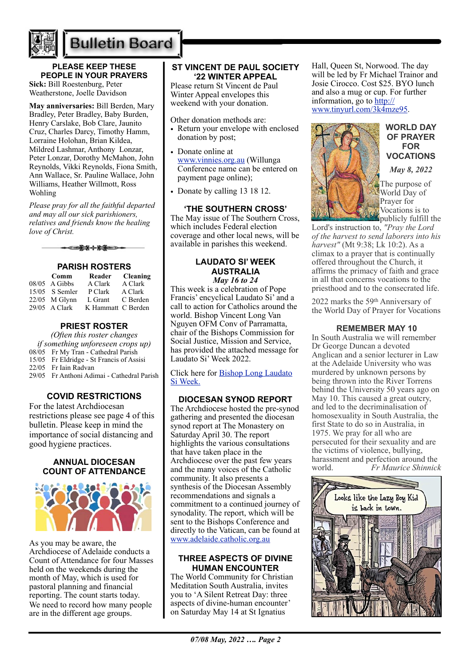

# **Bulletin Board**

## **PLEASE KEEP THESE PEOPLE IN YOUR PRAYERS**

**Sick:** Bill Roestenburg, Peter Weatherstone, Joelle Davidson

**May anniversaries:** Bill Berden, Mary Bradley, Peter Bradley, Baby Burden, Henry Carslake, Bob Clare, Jaunito Cruz, Charles Darcy, Timothy Hamm, Lorraine Holohan, Brian Kildea, Mildred Lashmar, Anthony Lonzar, Peter Lonzar, Dorothy McMahon, John Reynolds, Vikki Reynolds, Fiona Smith, Ann Wallace, Sr. Pauline Wallace, John Williams, Heather Willmott, Ross Wohling

*Please pray for all the faithful departed and may all our sick parishioners, relatives and friends know the healing love of Christ.*

\*\*\*\*\*

#### **PARISH ROSTERS**

| Comm            | Reader             | Cleaning |
|-----------------|--------------------|----------|
| $08/05$ A Gibbs | A Clark            | A Clark  |
| 15/05 S Semler  | P Clark            | A Clark  |
| $22/05$ M Glynn | L Grant            | C Berden |
| $29/05$ A Clark | K Hammatt C Berden |          |

### **PRIEST ROSTER**

*(Often this roster changes if something unforeseen crops up)* 08/05 Fr My Tran - Cathedral Parish 15/05 Fr Eldridge - St Francis of Assisi 22/05 Fr Iain Radvan

- 
- 29/05 Fr Anthoni Adimai Cathedral Parish

### **COVID RESTRICTIONS**

For the latest Archdiocesan restrictions please see page 4 of this bulletin. Please keep in mind the importance of social distancing and good hygiene practices.

#### **ANNUAL DIOCESAN COUNT OF ATTENDANCE**



As you may be aware, the Archdiocese of Adelaide conducts a Count of Attendance for four Masses held on the weekends during the month of May, which is used for pastoral planning and financial reporting. The count starts today. We need to record how many people are in the different age groups.

#### **ST VINCENT DE PAUL SOCIETY '22 WINTER APPEAL**

Please return St Vincent de Paul Winter Appeal envelopes this weekend with your donation.

Other donation methods are:

- Return your envelope with enclosed donation by post;
- Donate online at [www.vinnies.org.au](http://www.vinnies.org.au/) (Willunga Conference name can be entered on payment page online);
- Donate by calling 13 18 12.

#### **'THE SOUTHERN CROSS'**

The May issue of The Southern Cross, which includes Federal election coverage and other local news, will be available in parishes this weekend.

#### **LAUDATO SI' WEEK AUSTRALIA**  *May 16 to 24*

This week is a celebration of Pope Francis' encyclical Laudato Si' and a call to action for Catholics around the world. Bishop Vincent Long Van Nguyen OFM Conv of Parramatta, chair of the Bishops Commission for Social Justice, Mission and Service, has provided the attached message for Laudato Si' Week 2022.

Click here for [Bishop Long Laudato](https://adelaide.catholic.org.au/__files/f/123237/1.20220408%20Bishop%20Long%20Laudato%20Si)  [Si Week.](https://adelaide.catholic.org.au/__files/f/123237/1.20220408%20Bishop%20Long%20Laudato%20Si)

#### **DIOCESAN SYNOD REPORT**

The Archdiocese hosted the pre-synod gathering and presented the diocesan synod report at The Monastery on Saturday April 30. The report highlights the various consultations that have taken place in the Archdiocese over the past few years and the many voices of the Catholic community. It also presents a synthesis of the Diocesan Assembly recommendations and signals a commitment to a continued journey of synodality. The report, which will be sent to the Bishops Conference and directly to the Vatican, can be found at [www.adelaide.catholic.org.au](https://aus01.safelinks.protection.outlook.com/?url=http%3A%2F%2Fwww.adelaide.catholic.org.au%2F&data=05%7C01%7Clmcnamara%40adelaide.catholic.org.au%7Cd4231f51bf0344bd007a08da2ca2d066%7Cfe51d108d61d407cbcaaaab5af82a7ac%7C1%7C0%7C637871375039080314%7CUnknown%7CTWFpbGZsb3d8eyJWIjoiMC4wLjAwMDAiLCJQIjoiV2luMzIiLCJBTiI6Ik1haWwiLCJXVCI6Mn0%3D%7C3000%7C%7C%7C&sdata=1dhuFeYObxGhNRcYmEOn8nGWHdh7h9hzhhwk7z0PaAQ%3D&reserved=0)

#### **THREE ASPECTS OF DIVINE HUMAN ENCOUNTER**

The World Community for Christian Meditation South Australia, invites you to 'A Silent Retreat Day: three aspects of divine-human encounter' on Saturday May 14 at St Ignatius

Hall, Queen St, Norwood. The day will be led by Fr Michael Trainor and Josie Cirocco. Cost \$25. BYO lunch and also a mug or cup. For further information, go to [http://](https://aus01.safelinks.protection.outlook.com/?url=http%3A%2F%2Fwww.tinyurl.com%2F3k4mze95&data=05%7C01%7CCco-Reception%40adelaide.catholic.org.au%7Cd70c871f99014cedad4308da2723283f%7Cfe51d108d61d407cbcaaaab5af82a7ac%7C1%7C0%7C637865329207955476%7CUnknown%7CTWFpbGZsb3d8eyJWIjoiMC4wLjAwMDAiLCJQIjoiV2luMzIiLCJBTiI6Ik1haWwiLCJXVCI6Mn0%3D%7C3000%7C%7C%7C&sdata=DvM9zjGxtgX9%2BXmXAhRUKrNt531SZe9QzYXbhHSNcW8%3D&reserved=0) [www.tinyurl.com/3k4mze95](https://aus01.safelinks.protection.outlook.com/?url=http%3A%2F%2Fwww.tinyurl.com%2F3k4mze95&data=05%7C01%7CCco-Reception%40adelaide.catholic.org.au%7Cd70c871f99014cedad4308da2723283f%7Cfe51d108d61d407cbcaaaab5af82a7ac%7C1%7C0%7C637865329207955476%7CUnknown%7CTWFpbGZsb3d8eyJWIjoiMC4wLjAwMDAiLCJQIjoiV2luMzIiLCJBTiI6Ik1haWwiLCJXVCI6Mn0%3D%7C3000%7C%7C%7C&sdata=DvM9zjGxtgX9%2BXmXAhRUKrNt531SZe9QzYXbhHSNcW8%3D&reserved=0).



#### **WORLD DAY OF PRAYER FOR VOCATIONS**

*May 8, 2022*

The purpose of World Day of Prayer for Vocations is to publicly fulfill the

Lord's instruction to, *"Pray the Lord of the harvest to send laborers into his harvest"* (Mt 9:38; Lk 10:2). As a climax to a prayer that is continually offered throughout the Church, it affirms the primacy of faith and grace in all that concerns vocations to the priesthood and to the consecrated life.

2022 marks the 59th Anniversary of the World Day of Prayer for Vocations

#### **REMEMBER MAY 10**

In South Australia we will remember Dr George Duncan a devoted Anglican and a senior lecturer in Law at the Adelaide University who was murdered by unknown persons by being thrown into the River Torrens behind the University 50 years ago on May 10. This caused a great outcry, and led to the decriminalisation of homosexuality in South Australia, the first State to do so in Australia, in 1975. We pray for all who are persecuted for their sexuality and are the victims of violence, bullying, harassment and perfection around the world. *Fr Maurice Shinnick*

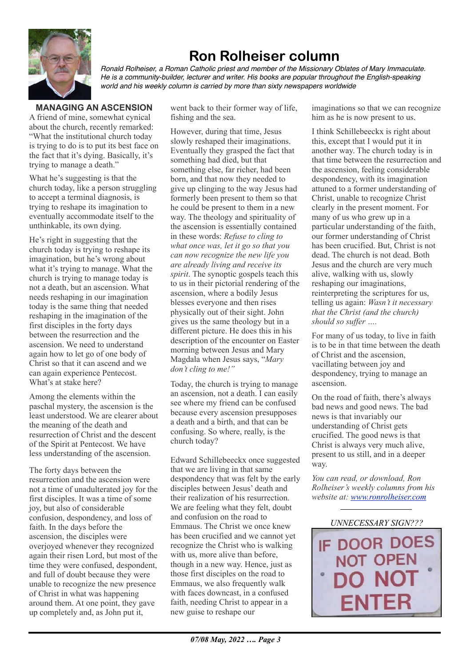

## **Ron Rolheiser column**

*Ronald Rolheiser, a Roman Catholic priest and member of the Missionary Oblates of Mary Immaculate. He is a community-builder, lecturer and writer. His books are popular throughout the English-speaking world and his weekly column is carried by more than sixty newspapers worldwide*

## **MANAGING AN ASCENSION**

A friend of mine, somewhat cynical about the church, recently remarked: "What the institutional church today is trying to do is to put its best face on the fact that it's dying. Basically, it's trying to manage a death."

What he's suggesting is that the church today, like a person struggling to accept a terminal diagnosis, is trying to reshape its imagination to eventually accommodate itself to the unthinkable, its own dying.

He's right in suggesting that the church today is trying to reshape its imagination, but he's wrong about what it's trying to manage. What the church is trying to manage today is not a death, but an ascension. What needs reshaping in our imagination today is the same thing that needed reshaping in the imagination of the first disciples in the forty days between the resurrection and the ascension. We need to understand again how to let go of one body of Christ so that it can ascend and we can again experience Pentecost. What's at stake here?

Among the elements within the paschal mystery, the ascension is the least understood. We are clearer about the meaning of the death and resurrection of Christ and the descent of the Spirit at Pentecost. We have less understanding of the ascension.

The forty days between the resurrection and the ascension were not a time of unadulterated joy for the first disciples. It was a time of some joy, but also of considerable confusion, despondency, and loss of faith. In the days before the ascension, the disciples were overjoyed whenever they recognized again their risen Lord, but most of the time they were confused, despondent, and full of doubt because they were unable to recognize the new presence of Christ in what was happening around them. At one point, they gave up completely and, as John put it,

went back to their former way of life, fishing and the sea.

However, during that time, Jesus slowly reshaped their imaginations. Eventually they grasped the fact that something had died, but that something else, far richer, had been born, and that now they needed to give up clinging to the way Jesus had formerly been present to them so that he could be present to them in a new way. The theology and spirituality of the ascension is essentially contained in these words: *Refuse to cling to what once was, let it go so that you can now recognize the new life you are already living and receive its spirit*. The synoptic gospels teach this to us in their pictorial rendering of the ascension, where a bodily Jesus blesses everyone and then rises physically out of their sight. John gives us the same theology but in a different picture. He does this in his description of the encounter on Easter morning between Jesus and Mary Magdala when Jesus says, "*Mary don't cling to me!"*

Today, the church is trying to manage an ascension, not a death. I can easily see where my friend can be confused because every ascension presupposes a death and a birth, and that can be confusing. So where, really, is the church today?

Edward Schillebeeckx once suggested that we are living in that same despondency that was felt by the early disciples between Jesus' death and their realization of his resurrection. We are feeling what they felt, doubt and confusion on the road to Emmaus. The Christ we once knew has been crucified and we cannot yet recognize the Christ who is walking with us, more alive than before. though in a new way. Hence, just as those first disciples on the road to Emmaus, we also frequently walk with faces downcast, in a confused faith, needing Christ to appear in a new guise to reshape our

imaginations so that we can recognize him as he is now present to us.

I think Schillebeeckx is right about this, except that I would put it in another way. The church today is in that time between the resurrection and the ascension, feeling considerable despondency, with its imagination attuned to a former understanding of Christ, unable to recognize Christ clearly in the present moment. For many of us who grew up in a particular understanding of the faith, our former understanding of Christ has been crucified. But, Christ is not dead. The church is not dead. Both Jesus and the church are very much alive, walking with us, slowly reshaping our imaginations, reinterpreting the scriptures for us, telling us again: *Wasn't it necessary that the Christ (and the church) should so suffer ….*

For many of us today, to live in faith is to be in that time between the death of Christ and the ascension, vacillating between joy and despondency, trying to manage an ascension.

On the road of faith, there's always bad news and good news. The bad news is that invariably our understanding of Christ gets crucified. The good news is that Christ is always very much alive, present to us still, and in a deeper way.

*You can read, or download, Ron Rolheiser's weekly columns from his website at: [www.ronrolheiser.com](http://www.ronrolheiser.com)*